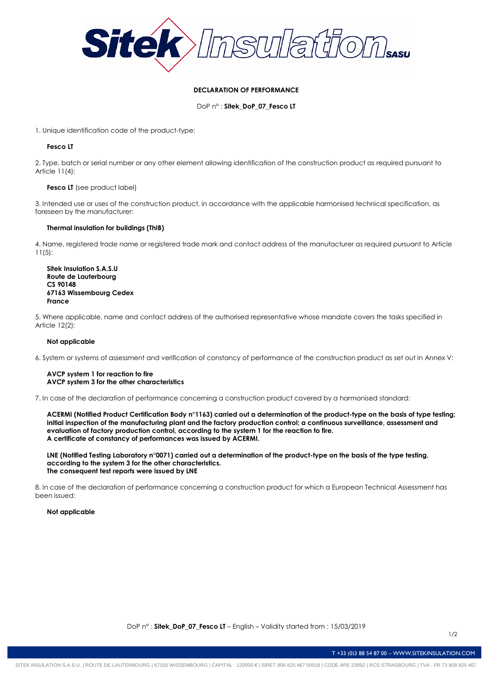

# **DECLARATION OF PERFORMANCE**

DoP n° : **Sitek\_DoP\_07\_Fesco LT**

1. Unique identification code of the product-type:

# **Fesco LT**

2. Type, batch or serial number or any other element allowing identification of the construction product as required pursuant to Article 11(4):

## **Fesco LT** (see product label)

3. Intended use or uses of the construction product, in accordance with the applicable harmonised technical specification, as foreseen by the manufacturer:

## **Thermal insulation for buildings (ThIB)**

4. Name, registered trade name or registered trade mark and contact address of the manufacturer as required pursuant to Article 11(5):

**Sitek Insulation S.A.S.U Route de Lauterbourg CS 90148 67163 Wissembourg Cedex France**

5. Where applicable, name and contact address of the authorised representative whose mandate covers the tasks specified in Article 12(2):

# **Not applicable**

6. System or systems of assessment and verification of constancy of performance of the construction product as set out in Annex V:

### **AVCP system 1 for reaction to fire AVCP system 3 for the other characteristics**

7. In case of the declaration of performance concerning a construction product covered by a harmonised standard:

**ACERMI (Notified Product Certification Body n°1163) carried out a determination of the product-type on the basis of type testing; initial inspection of the manufacturing plant and the factory production control; a continuous surveillance, assessment and evaluation of factory production control, according to the system 1 for the reaction to fire. A certificate of constancy of performances was issued by ACERMI.**

**LNE (Notified Testing Laboratory n°0071) carried out a determination of the product-type on the basis of the type testing, according to the system 3 for the other characteristics. The consequent test reports were issued by LNE**

8. In case of the declaration of performance concerning a construction product for which a European Technical Assessment has been issued:

### **Not applicable**